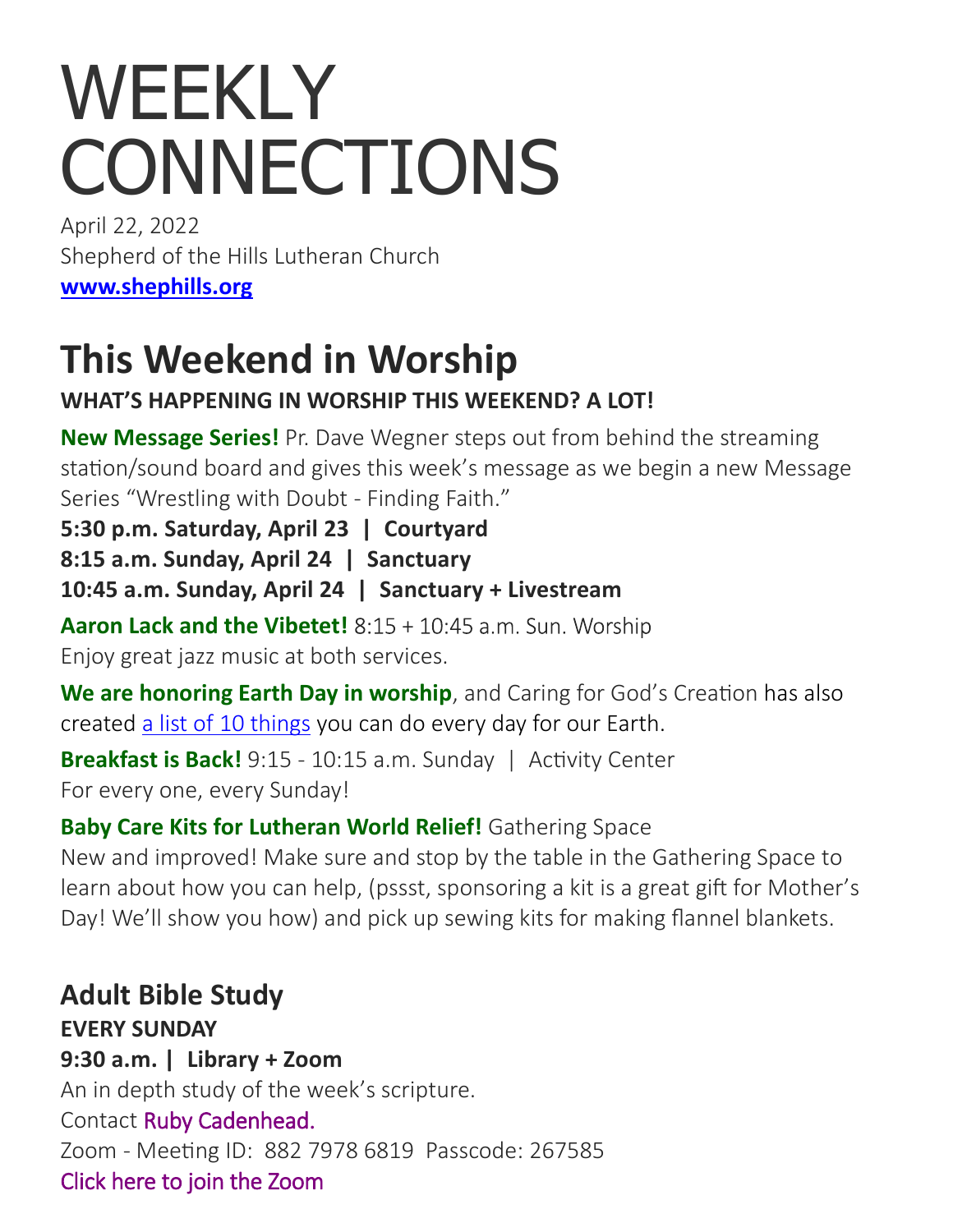# WEEKLY **CONNECTIONS**

April 22, 2022 Shepherd of the Hills Lutheran Church **[www.shephills.org](http://www.shephills.org)**

# **This Weekend in Worship**

# **WHAT'S HAPPENING IN WORSHIP THIS WEEKEND? A LOT!**

**New Message Series!** Pr. Dave Wegner steps out from behind the streaming station/sound board and gives this week's message as we begin a new Message Series "Wrestling with Doubt - Finding Faith."

**5:30 p.m. Saturday, April 23 | Courtyard**

**8:15 a.m. Sunday, April 24 | Sanctuary**

**10:45 a.m. Sunday, April 24 | Sanctuary + Livestream**

Aaron Lack and the Vibetet! 8:15 + 10:45 a.m. Sun. Worship Enjoy great jazz music at both services.

**We are honoring Earth Day in worship**, and Caring for God's Creation has also created [a list of 10 things](https://shephills.org/wp-content/uploads/2022/04/10-Things-You-Can-Do-Everyday-for-Earth-Day.pdf) you can do every day for our Earth.

**Breakfast is Back!** 9:15 - 10:15 a.m. Sunday | Activity Center For every one, every Sunday!

#### **Baby Care Kits for Lutheran World Relief!** Gathering Space

New and improved! Make sure and stop by the table in the Gathering Space to learn about how you can help, (pssst, sponsoring a kit is a great gift for Mother's Day! We'll show you how) and pick up sewing kits for making flannel blankets.

**Adult Bible Study EVERY SUNDAY 9:30 a.m. | Library + Zoom** An in depth study of the week's scripture. Contact [Ruby Cadenhead.](mailto:rubies61@gmail.com) Zoom - Meeting ID: 882 7978 6819 Passcode: 267585 [Click here to join the Zoom](https://us02web.zoom.us/j/88279786819?pwd=Uytzc1NsT0xCWlM5dnVCMlBFZ1djUT09)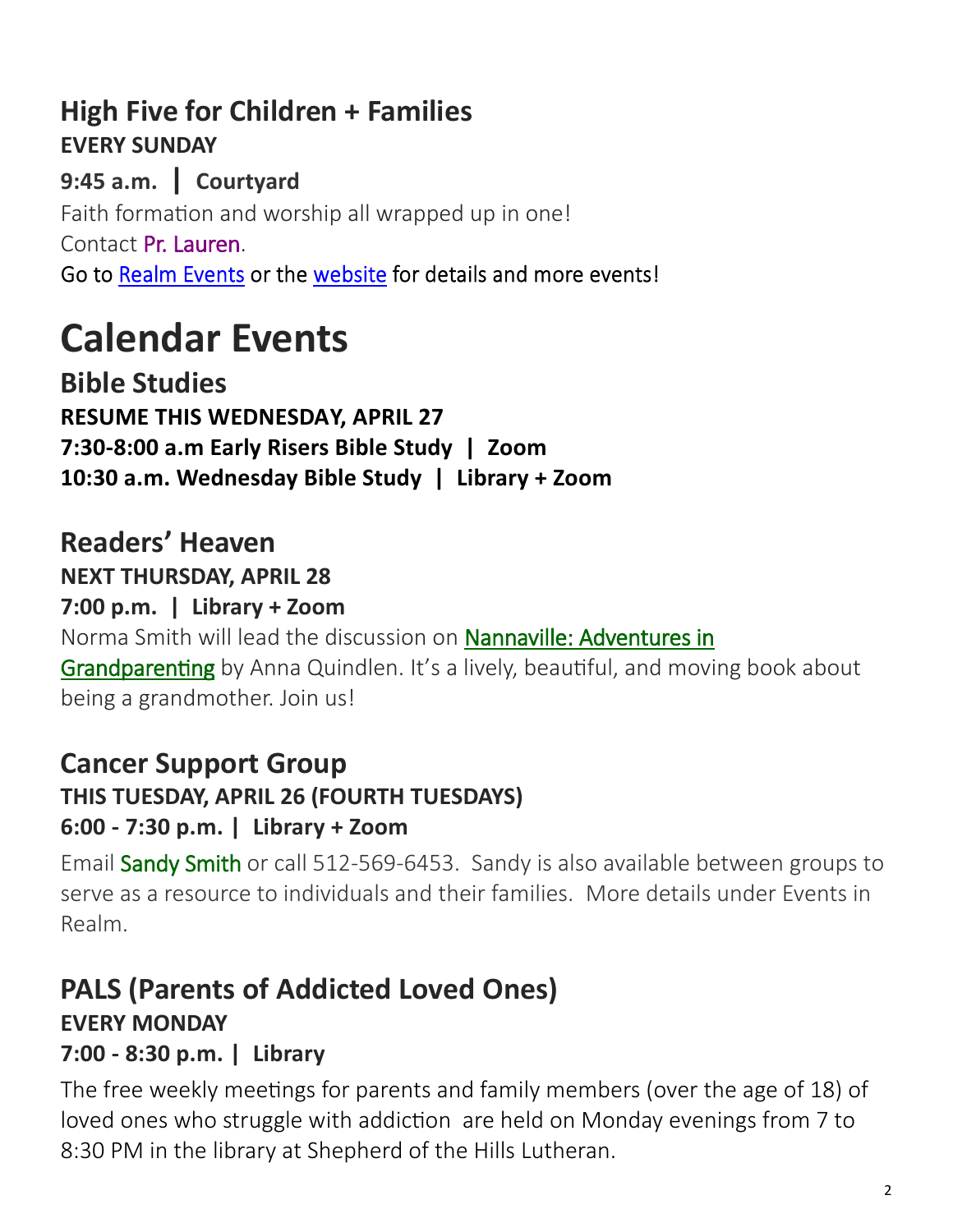# **High Five for Children + Families EVERY SUNDAY**

**9:45 a.m. | Courtyard**  Faith formation and worship all wrapped up in one! Contact [Pr. Lauren.](mailto:lauren@shephills.org) Go to Realm Events or the website for details and more events!

# **Calendar Events**

**Bible Studies RESUME THIS WEDNESDAY, APRIL 27 7:30-8:00 a.m Early Risers Bible Study | Zoom 10:30 a.m. Wednesday Bible Study | Library + Zoom**

### **Readers' Heaven NEXT THURSDAY, APRIL 28**

#### **7:00 p.m. | Library + Zoom**

Norma Smith will lead the discussion on [Nannaville: Adventures in](https://www.bookpeople.com/book/9780812985917)  [Grandparenting](https://www.bookpeople.com/book/9780812985917) by Anna Quindlen. It's a lively, beautiful, and moving book about being a grandmother. Join us!

# **Cancer Support Group**

#### **THIS TUESDAY, APRIL 26 (FOURTH TUESDAYS)**

### **6:00 - 7:30 p.m. | Library + Zoom**

Email [Sandy Smith](mailto:texas.sandysmith@gmail.com) or call 512-569-6453. Sandy is also available between groups to serve as a resource to individuals and their families. More details under Events in Realm.

# **PALS (Parents of Addicted Loved Ones) EVERY MONDAY 7:00 - 8:30 p.m. | Library**

The free weekly meetings for parents and family members (over the age of 18) of loved ones who struggle with addiction are held on Monday evenings from 7 to 8:30 PM in the library at Shepherd of the Hills Lutheran.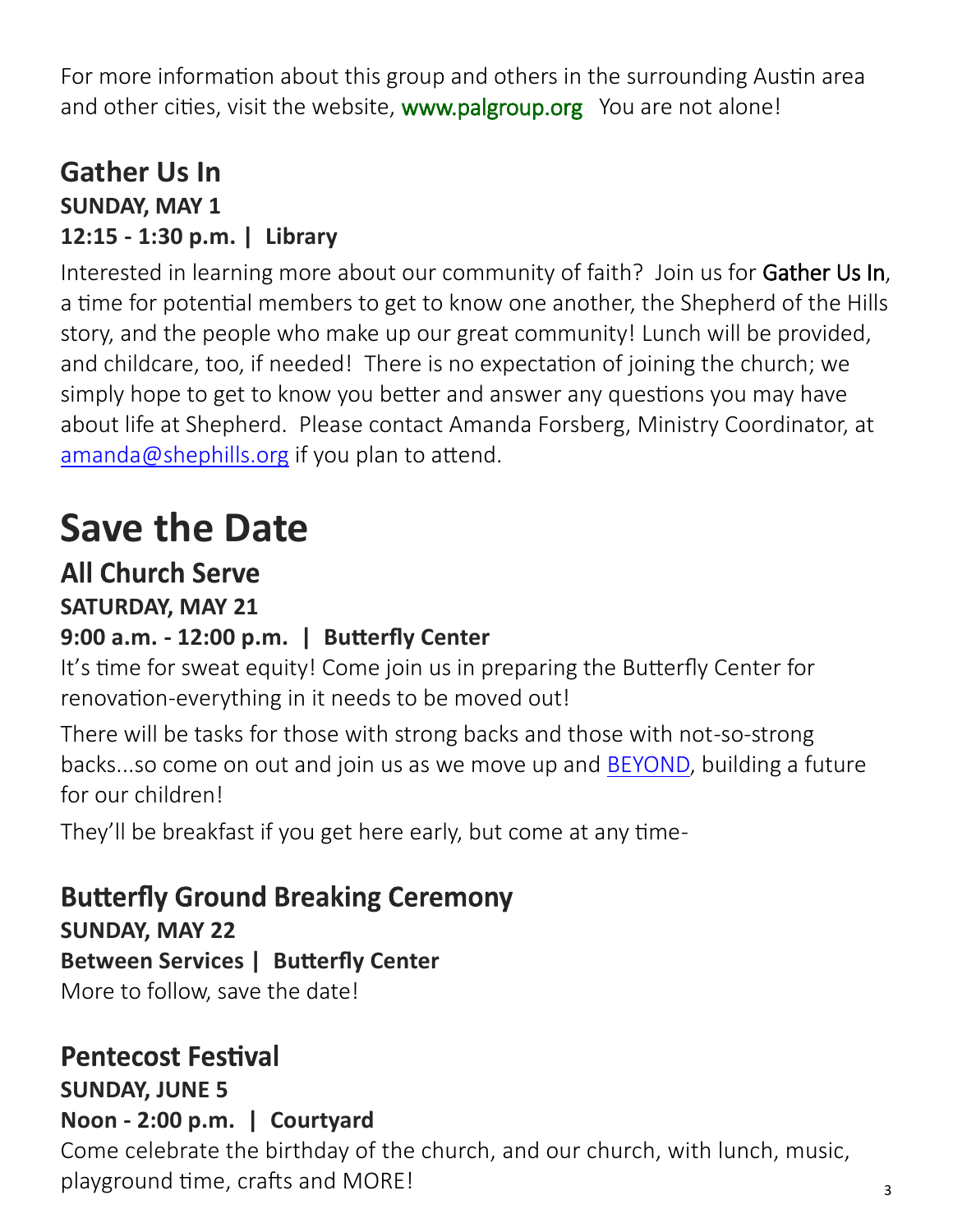For more information about this group and others in the surrounding Austin area and other cities, visit the website, [www.palgroup.org](http://www.palgroup.org) You are not alone!

# **Gather Us In SUNDAY, MAY 1 12:15 - 1:30 p.m. | Library**

Interested in learning more about our community of faith? Join us for Gather Us In, a time for potential members to get to know one another, the Shepherd of the Hills story, and the people who make up our great community! Lunch will be provided, and childcare, too, if needed! There is no expectation of joining the church; we simply hope to get to know you better and answer any questions you may have about life at Shepherd. Please contact Amanda Forsberg, Ministry Coordinator, at [amanda@shephills.org](mailto:amanda@shephills.org) if you plan to attend.

# **Save the Date**

# **All Church Serve**

**SATURDAY, MAY 21**

### **9:00 a.m. - 12:00 p.m. | Butterfly Center**

It's time for sweat equity! Come join us in preparing the Butterfly Center for renovation-everything in it needs to be moved out!

There will be tasks for those with strong backs and those with not-so-strong backs...so come on out and join us as we move up and [BEYOND,](https://shephills.org/beyond/) building a future for our children!

They'll be breakfast if you get here early, but come at any time-

# **Butterfly Ground Breaking Ceremony**

**SUNDAY, MAY 22**

**Between Services | Butterfly Center**

More to follow, save the date!

# **Pentecost Festival**

#### **SUNDAY, JUNE 5**

# **Noon - 2:00 p.m. | Courtyard**

Come celebrate the birthday of the church, and our church, with lunch, music, playground time, crafts and MORE!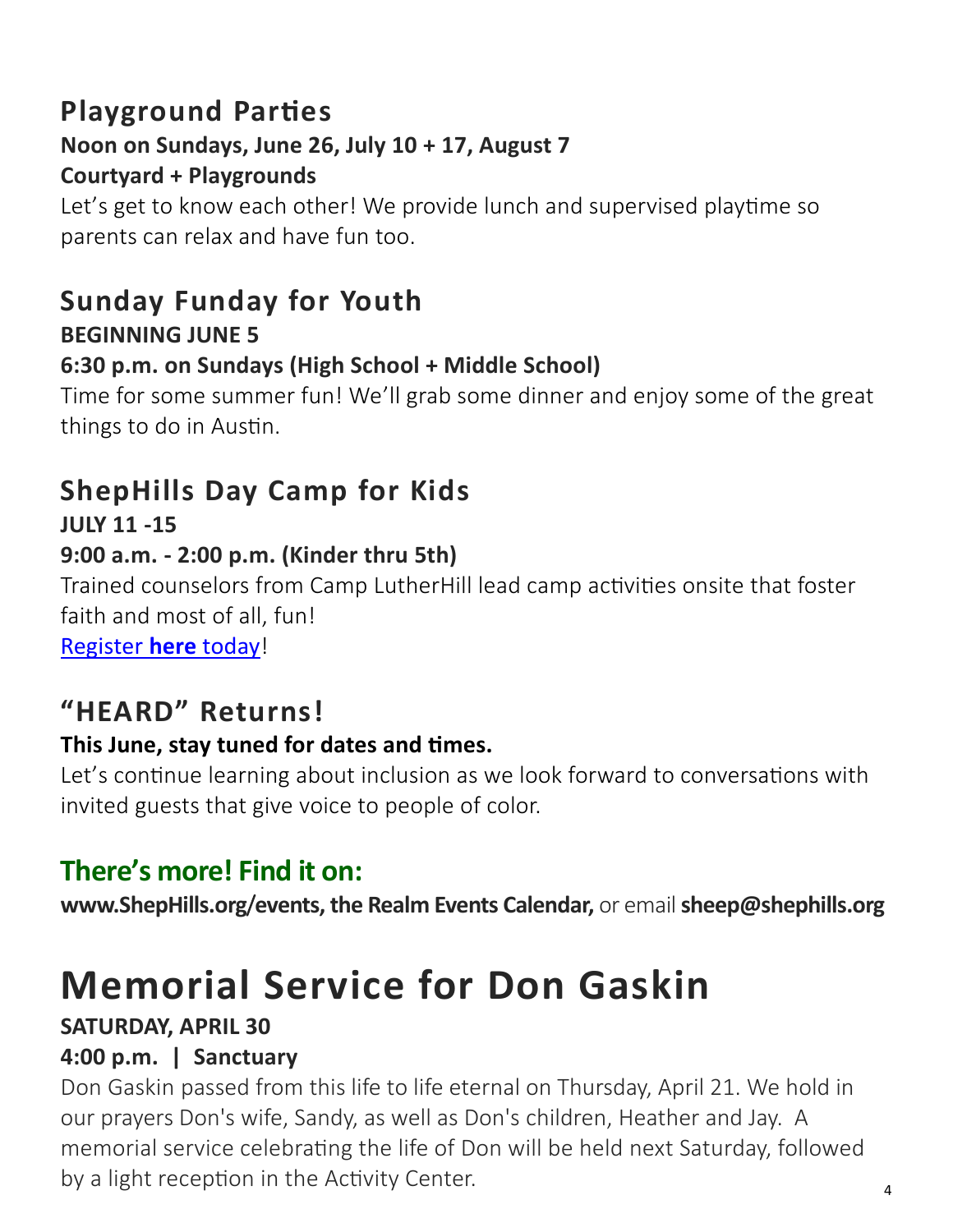# **Playground Parties**

# **Noon on Sundays, June 26, July 10 + 17, August 7**

#### **Courtyard + Playgrounds**

Let's get to know each other! We provide lunch and supervised playtime so parents can relax and have fun too.

# **Sunday Funday for Youth BEGINNING JUNE 5**

#### **6:30 p.m. on Sundays (High School + Middle School)**

Time for some summer fun! We'll grab some dinner and enjoy some of the great things to do in Austin.

# **ShepHills Day Camp for Kids**

**JULY 11 -15** 

### **9:00 a.m. - 2:00 p.m. (Kinder thru 5th)**

Trained counselors from Camp LutherHill lead camp activities onsite that foster faith and most of all, fun!

[Register](https://onrealm.org/shephills/PublicRegistrations/Event?linkString=YTNlZGFiMzItNDVhYi00ZGEyLTkxMDAtYWU0NjAxNWM5NzYx) **here** today!

# **"HEARD" Returns!**

#### **This June, stay tuned for dates and times.**

Let's continue learning about inclusion as we look forward to conversations with invited guests that give voice to people of color.

# **There's more! Find it on:**

**[www.ShepHills.org](https://shephills.org/events/)**/**events, the Realm Events Calendar,** or email **[sheep@shephills.org](mailto:sheep@shephills.org)**

# **Memorial Service for Don Gaskin**

### **SATURDAY, APRIL 30**

#### **4:00 p.m. | Sanctuary**

Don Gaskin passed from this life to life eternal on Thursday, April 21. We hold in our prayers Don's wife, Sandy, as well as Don's children, Heather and Jay. A memorial service celebrating the life of Don will be held next Saturday, followed by a light reception in the Activity Center.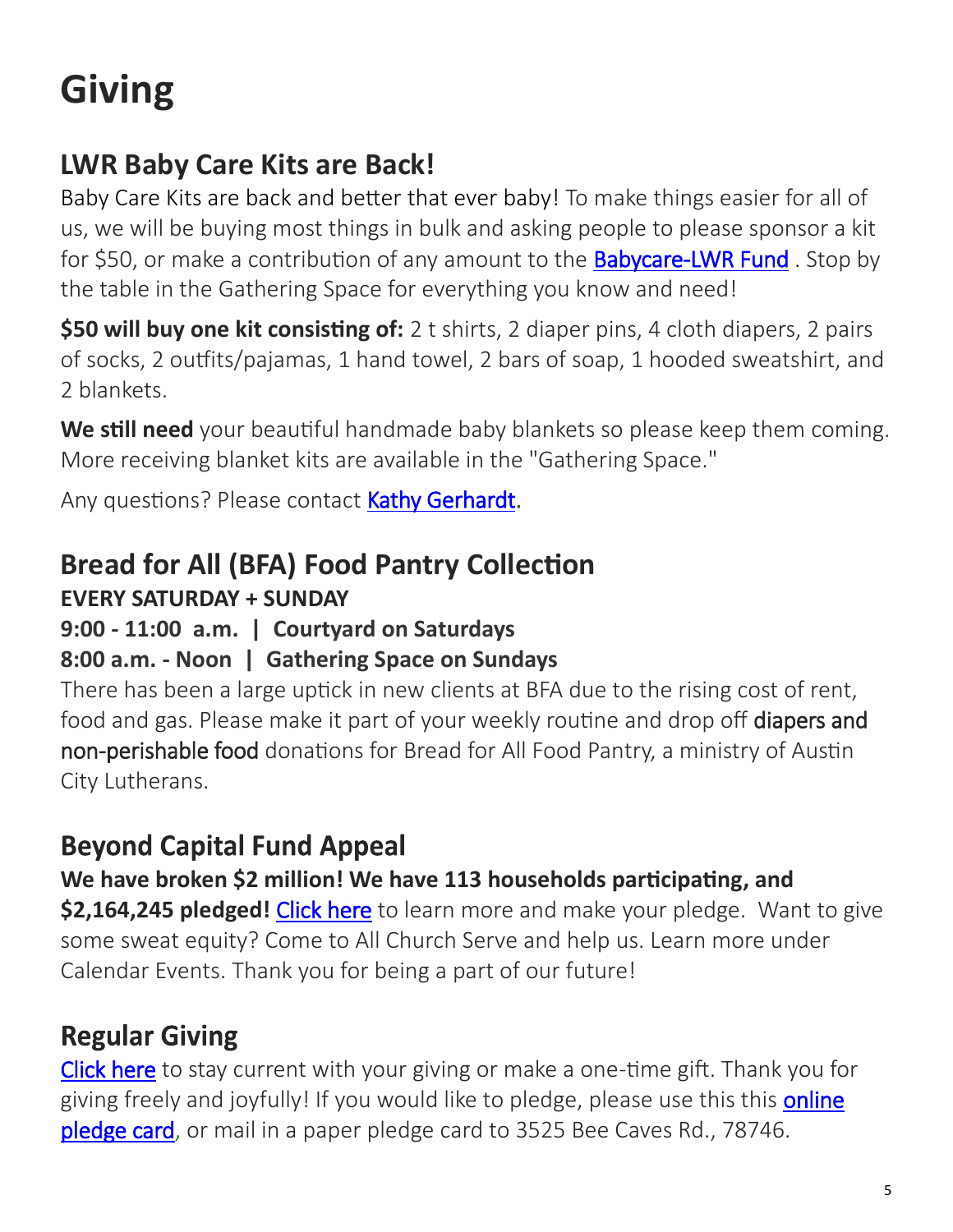# **Giving**

# **LWR Baby Care Kits are Back!**

Baby Care Kits are back and better that ever baby! To make things easier for all of us, we will be buying most things in bulk and asking people to please sponsor a kit for \$50, or make a contribution of any amount to the **Babycare-[LWR Fund](https://onrealm.org/shephills/give/babycare-lwr)**. Stop by the table in the Gathering Space for everything you know and need!

**\$50 will buy one kit consisting of:** 2 t shirts, 2 diaper pins, 4 cloth diapers, 2 pairs of socks, 2 outfits/pajamas, 1 hand towel, 2 bars of soap, 1 hooded sweatshirt, and 2 blankets.

**We still need** your beautiful handmade baby blankets so please keep them coming. More receiving blanket kits are available in the "Gathering Space."

Any questions? Please contact [Kathy Gerhardt.](mailto:kathnmark@gmail.com)

# **Bread for All (BFA) Food Pantry Collection**

# **EVERY SATURDAY + SUNDAY**

**9:00 - 11:00 a.m. | Courtyard on Saturdays**

# **8:00 a.m. - Noon | Gathering Space on Sundays**

There has been a large uptick in new clients at BFA due to the rising cost of rent, food and gas. Please make it part of your weekly routine and drop off diapers and non-perishable food donations for Bread for All Food Pantry, a ministry of Austin City Lutherans.

# **Beyond Capital Fund Appeal**

**We have broken \$2 million! We have 113 households participating, and \$2,164,245 pledged!** [Click here](https://shephills.org/beyond/) to learn more and make your pledge. Want to give some sweat equity? Come to All Church Serve and help us. Learn more under Calendar Events. Thank you for being a part of our future!

# **Regular Giving**

[Click here](https://shephills.org/give/) to stay current with your giving or make a one-time gift. Thank you for giving freely and joyfully! If you would like to pledge, please use this this online [pledge card,](https://shephills.org/pledge/) or mail in a paper pledge card to 3525 Bee Caves Rd., 78746.